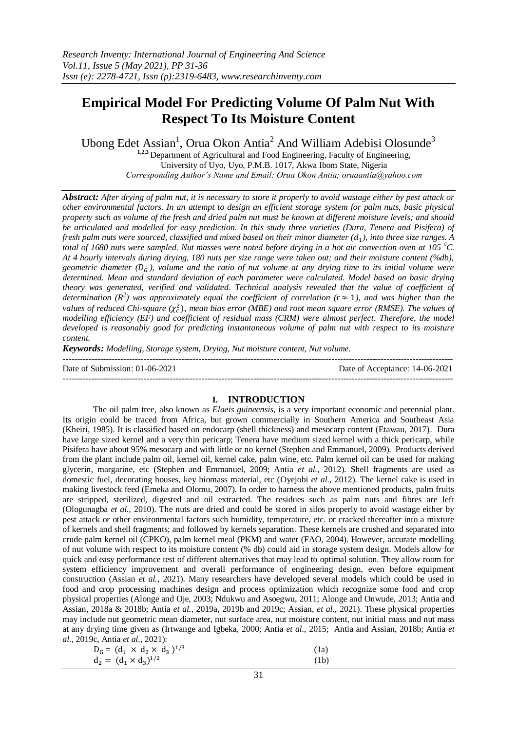# **Empirical Model For Predicting Volume Of Palm Nut With Respect To Its Moisture Content**

Ubong Edet Assian<sup>1</sup>, Orua Okon Antia<sup>2</sup> And William Adebisi Olosunde<sup>3</sup>

**1,2,3** Department of Agricultural and Food Engineering, Faculty of Engineering,

University of Uyo, Uyo, P.M.B. 1017, Akwa Ibom State, Nigeria *Corresponding Author's Name and Email: Orua Okon Antia; oruaantia@yahoo.com*

*Abstract: After drying of palm nut, it is necessary to store it properly to avoid wastage either by pest attack or other environmental factors. In an attempt to design an efficient storage system for palm nuts, basic physical property such as volume of the fresh and dried palm nut must be known at different moisture levels; and should be articulated and modelled for easy prediction. In this study three varieties (Dura, Tenera and Pisifera) of*  fresh palm nuts were sourced, classified and mixed based on their minor diameter (d<sub>1</sub>), into three size ranges. A *total of 1680 nuts were sampled. Nut masses were noted before drying in a hot air convection oven at 105 <sup>0</sup>C. At 4 hourly intervals during drying, 180 nuts per size range were taken out; and their moisture content (%db), geometric diameter (* $D<sub>c</sub>$ *), volume and the ratio of nut volume at any drying time to its initial volume were determined. Mean and standard deviation of each parameter were calculated. Model based on basic drying theory was generated, verified and validated. Technical analysis revealed that the value of coefficient of determination*  $(R^2)$  was approximately equal the coefficient of correlation ( $r \approx 1$ ), and was higher than the values of reduced Chi-square ( $\chi_c^2$ ), mean bias error (MBE) and root mean square error (RMSE). The values of *modelling efficiency (EF) and coefficient of residual mass (CRM) were almost perfect. Therefore, the model developed is reasonably good for predicting instantaneous volume of palm nut with respect to its moisture content.*

*Keywords: Modelling, Storage system, Drying, Nut moisture content, Nut volume.*

| Date of Submission: $01-06-2021$ | Date of Acceptance: 14-06-2021 |
|----------------------------------|--------------------------------|
|                                  |                                |

## **I. INTRODUCTION**

The oil palm tree, also known as *Elaeis guineensis*, is a very important economic and perennial plant. Its origin could be traced from Africa, but grown commercially in Southern America and Southeast Asia (Kheiri, 1985). It is classified based on endocarp (shell thickness) and mesocarp content (Etawau, 2017). Dura have large sized kernel and a very thin pericarp; Tenera have medium sized kernel with a thick pericarp, while Pisifera have about 95% mesocarp and with little or no kernel (Stephen and Emmanuel, 2009). Products derived from the plant include palm oil, kernel oil, kernel cake, palm wine, etc. Palm kernel oil can be used for making glycerin, margarine, etc (Stephen and Emmanuel, 2009; Antia *et al.,* 2012). Shell fragments are used as domestic fuel, decorating houses, key biomass material, etc (Oyejobi *et al.,* 2012). The kernel cake is used in making livestock feed (Emeka and Olomu, 2007). In order to harness the above mentioned products, palm fruits are stripped, sterilized, digested and oil extracted. The residues such as palm nuts and fibres are left (Ologunagba *et al.,* 2010). The nuts are dried and could be stored in silos properly to avoid wastage either by pest attack or other environmental factors such humidity, temperature, etc. or cracked thereafter into a mixture of kernels and shell fragments; and followed by kernels separation. These kernels are crushed and separated into crude palm kernel oil (CPKO), palm kernel meal (PKM) and water (FAO, 2004). However, accurate modelling of nut volume with respect to its moisture content (% db) could aid in storage system design. Models allow for quick and easy performance test of different alternatives that may lead to optimal solution. They allow room for system efficiency improvement and overall performance of engineering design, even before equipment construction (Assian *et al.,* 2021). Many researchers have developed several models which could be used in food and crop processing machines design and process optimization which recognize some food and crop physical properties (Alonge and Oje, 2003; Ndukwu and Asoegwu, 2011; Alonge and Onwude, 2013; Antia and Assian, 2018a & 2018b; Antia *et al.,* 2019a, 2019b and 2019c; Assian, *et al.,* 2021). These physical properties may include nut geometric mean diameter, nut surface area, nut moisture content, nut initial mass and nut mass at any drying time given as (Irtwange and Igbeka, 2000; Antia *et al.,* 2015; Antia and Assian, 2018b; Antia *et al.,* 2019c, Antia *et al.,* 2021):

| $D_G = (d_1 \times d_2 \times d_3)^{1/3}$ | (1a) |
|-------------------------------------------|------|
| $d_2 = (d_1 \times d_3)^{1/2}$            | (1b) |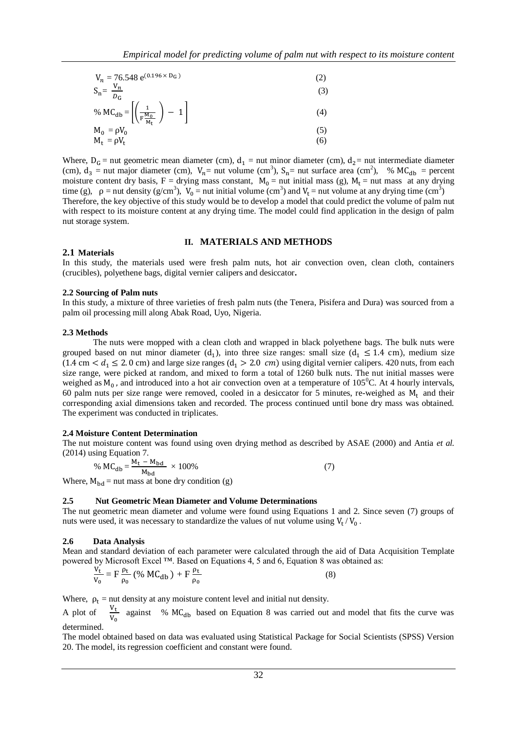$$
V_n = 76.548 e^{(0.196 \times D_G)}
$$
 (2)

$$
S_n = \frac{V_n}{D_G} \tag{3}
$$

% MC<sub>db</sub> = 
$$
\left[ \left( \frac{1}{F \frac{M_0}{M_t}} \right) - 1 \right]
$$
 (4)

$$
M_0 = \rho V_0 \tag{5}
$$
  
\n
$$
M_t = \rho V_t \tag{6}
$$

Where,  $D_G$  = nut geometric mean diameter (cm),  $d_1$  = nut minor diameter (cm),  $d_2$  = nut intermediate diameter (cm),  $d_3$  = nut major diameter (cm),  $V_n$ = nut volume (cm<sup>3</sup>),  $S_n$ = nut surface area (cm<sup>2</sup>), % MC<sub>db</sub> = percent moisture content dry basis, F = drying mass constant,  $M_0$  = nut initial mass (g),  $M_t$  = nut mass at any drying time (g),  $\rho =$  nut density (g/cm<sup>3</sup>),  $V_0 =$  nut initial volume (cm<sup>3</sup>) and  $V_t =$  nut volume at any drying time (cm<sup>3</sup>) Therefore, the key objective of this study would be to develop a model that could predict the volume of palm nut with respect to its moisture content at any drying time. The model could find application in the design of palm nut storage system.

## **II. MATERIALS AND METHODS**

### **2.1 Materials**

In this study, the materials used were fresh palm nuts, hot air convection oven, clean cloth, containers (crucibles), polyethene bags, digital vernier calipers and desiccator**.**

#### **2.2 Sourcing of Palm nuts**

In this study, a mixture of three varieties of fresh palm nuts (the Tenera, Pisifera and Dura) was sourced from a palm oil processing mill along Abak Road, Uyo, Nigeria.

#### **2.3 Methods**

The nuts were mopped with a clean cloth and wrapped in black polyethene bags. The bulk nuts were grouped based on nut minor diameter  $(d_1)$ , into three size ranges: small size  $(d_1 \leq 1.4$  cm), medium size  $(1.4 \text{ cm} < d_1 \leq 2.0 \text{ cm})$  and large size ranges  $(d_1 > 2.0 \text{ cm})$  using digital vernier calipers. 420 nuts, from each size range, were picked at random, and mixed to form a total of 1260 bulk nuts. The nut initial masses were weighed as  $M_0$ , and introduced into a hot air convection oven at a temperature of 105<sup>0</sup>C. At 4 hourly intervals, 60 palm nuts per size range were removed, cooled in a desiccator for 5 minutes, re-weighed as  $M_t$  and their corresponding axial dimensions taken and recorded. The process continued until bone dry mass was obtained. The experiment was conducted in triplicates.

#### **2.4 Moisture Content Determination**

The nut moisture content was found using oven drying method as described by ASAE (2000) and Antia *et al.* (2014) using Equation 7.

% 
$$
MC_{db} = \frac{M_t - M_{bd}}{M_{bd}} \times 100\%
$$
 (7)

Where,  $M_{\text{bd}}$  = nut mass at bone dry condition (g)

#### **2.5 Nut Geometric Mean Diameter and Volume Determinations**

The nut geometric mean diameter and volume were found using Equations 1 and 2. Since seven (7) groups of nuts were used, it was necessary to standardize the values of nut volume using  $V_t / V_0$ .

#### **2.6 Data Analysis**

Mean and standard deviation of each parameter were calculated through the aid of Data Acquisition Template powered by Microsoft Excel ™. Based on Equations 4, 5 and 6, Equation 8 was obtained as:

$$
\frac{V_{t}}{V_{0}} = F \frac{\rho_{t}}{\rho_{0}} (96 \text{ MC}_{db}) + F \frac{\rho_{t}}{\rho_{0}}
$$
 (8)

Where,  $\rho_t$  = nut density at any moisture content level and initial nut density.

A plot of  $\frac{v_t}{v_0}$  against % MC<sub>db</sub> based on Equation 8 was carried out and model that fits the curve was determined.

The model obtained based on data was evaluated using Statistical Package for Social Scientists (SPSS) Version 20. The model, its regression coefficient and constant were found.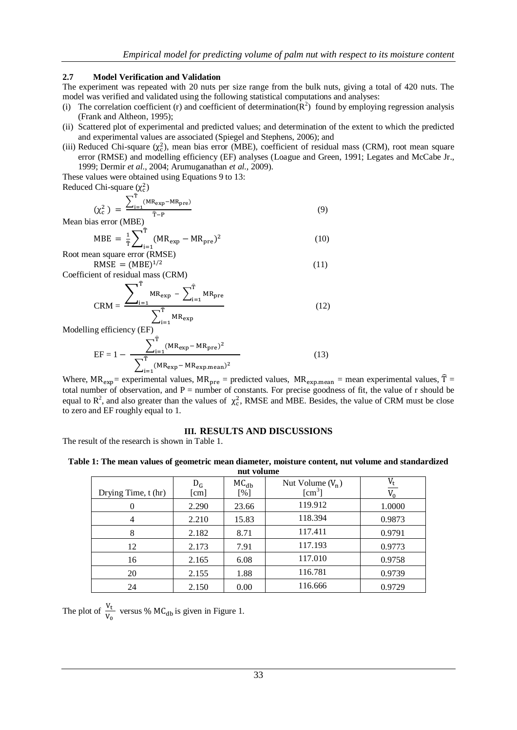# **2.7 Model Verification and Validation**

The experiment was repeated with 20 nuts per size range from the bulk nuts, giving a total of 420 nuts. The model was verified and validated using the following statistical computations and analyses:

- (i) The correlation coefficient (r) and coefficient of determination( $\mathbb{R}^2$ ) found by employing regression analysis (Frank and Altheon, 1995);
- (ii) Scattered plot of experimental and predicted values; and determination of the extent to which the predicted and experimental values are associated (Spiegel and Stephens, 2006); and
- (iii) Reduced Chi-square  $(\chi_c^2)$ , mean bias error (MBE), coefficient of residual mass (CRM), root mean square error (RMSE) and modelling efficiency (EF) analyses (Loague and Green, 1991; Legates and McCabe Jr., 1999; Dermir *et al*., 2004; Arumuganathan *et al.,* 2009).

These values were obtained using Equations 9 to 13:

Reduced Chi-square  $(\chi_c^2)$ 

$$
\left(\chi_{c}^{2}\right) = \frac{\sum_{i=1}^{T} (MR_{exp} - MR_{pre})}{\hat{T}-P}
$$
\n(9)

Mean bias error (MBE)

$$
MBE = \frac{1}{\hat{T}} \sum_{i=1}^{T} (MR_{exp} - MR_{pre})^2
$$
\nRoot mean square error (RMSE)

 $RMSE = (MBE)^1$ (11)

Coefficient of residual mass (CRM)

$$
CRM = \frac{\sum_{i=1}^{T} MR_{exp} - \sum_{i=1}^{T} MR_{pre}}{\sum_{i=1}^{T} MR_{exp}}
$$
(12)

Modelling efficiency (EF)

$$
EF = 1 - \frac{\sum_{i=1}^{T} (MR_{exp} - MR_{pre})^2}{\sum_{i=1}^{T} (MR_{exp} - MR_{expmean})^2}
$$
(13)

Where,  $MR_{exp}$  = experimental values,  $MR_{pre}$  = predicted values,  $MR_{exp.mean}$  = mean experimental values,  $\hat{T}$  = total number of observation, and  $P =$  number of constants. For precise goodness of fit, the value of r should be equal to  $R^2$ , and also greater than the values of  $\chi_c^2$ , RMSE and MBE. Besides, the value of CRM must be close to zero and EF roughly equal to 1.

# **III. RESULTS AND DISCUSSIONS**

The result of the research is shown in Table 1.

**Table 1: The mean values of geometric mean diameter, moisture content, nut volume and standardized nut volume**

| ние уотише          |               |                  |                                                         |        |  |  |
|---------------------|---------------|------------------|---------------------------------------------------------|--------|--|--|
| Drying Time, t (hr) | $D_G$<br>[cm] | $MC_{db}$<br>[%] | Nut Volume $(V_n)$<br>$\lceil$ cm <sup>3</sup> $\rceil$ |        |  |  |
|                     | 2.290         | 23.66            | 119.912                                                 | 1.0000 |  |  |
| 4                   | 2.210         | 15.83            | 118.394                                                 | 0.9873 |  |  |
| 8                   | 2.182         | 8.71             | 117.411                                                 | 0.9791 |  |  |
| 12                  | 2.173         | 7.91             | 117.193                                                 | 0.9773 |  |  |
| 16                  | 2.165         | 6.08             | 117.010                                                 | 0.9758 |  |  |
| 20                  | 2.155         | 1.88             | 116.781                                                 | 0.9739 |  |  |
| 24                  | 2.150         | 0.00             | 116.666                                                 | 0.9729 |  |  |

The plot of  $\frac{v_t}{v_0}$  versus % MC<sub>db</sub> is given in Figure 1.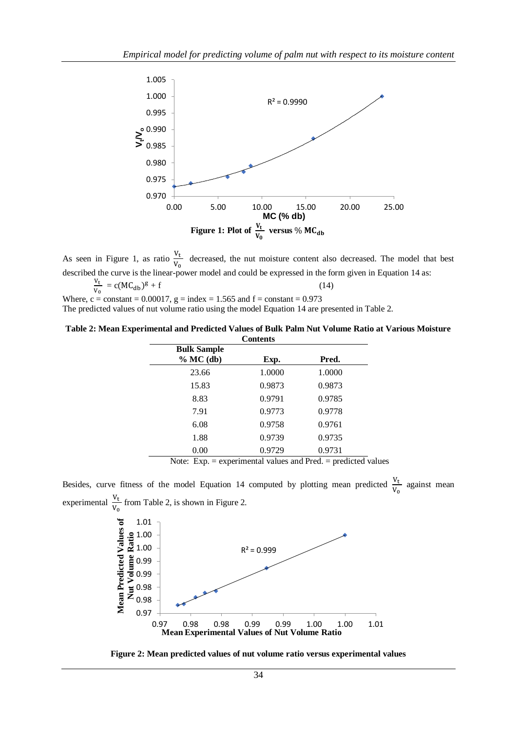

As seen in Figure 1, as ratio  $\frac{v_t}{v_0}$  decreased, the nut moisture content also decreased. The model that best described the curve is the linear-power model and could be expressed in the form given in Equation 14 as:

$$
\frac{V_{t}}{V_{0}} = c(MC_{db})^{g} + f
$$
\nWhere, c = constant = 0.00017, g = index = 1.565 and f = constant = 0.973

The predicted values of nut volume ratio using the model Equation 14 are presented in Table 2.

**Table 2: Mean Experimental and Predicted Values of Bulk Palm Nut Volume Ratio at Various Moisture Contents**

| <b>Bulk Sample</b><br>$% MC$ (db) | Exp.   | Pred.  |  |
|-----------------------------------|--------|--------|--|
| 23.66                             | 1.0000 | 1.0000 |  |
| 15.83                             | 0.9873 | 0.9873 |  |
| 8.83                              | 0.9791 | 0.9785 |  |
| 7.91                              | 0.9773 | 0.9778 |  |
| 6.08                              | 0.9758 | 0.9761 |  |
| 1.88                              | 0.9739 | 0.9735 |  |
| 0.00                              | 0.9729 | 0.9731 |  |

Note: Exp. = experimental values and Pred. = predicted values

Besides, curve fitness of the model Equation 14 computed by plotting mean predicted  $\frac{v_t}{v_0}$  against mean experimental  $\frac{v_t}{v_0}$  from Table 2, is shown in Figure 2.



**Figure 2: Mean predicted values of nut volume ratio versus experimental values**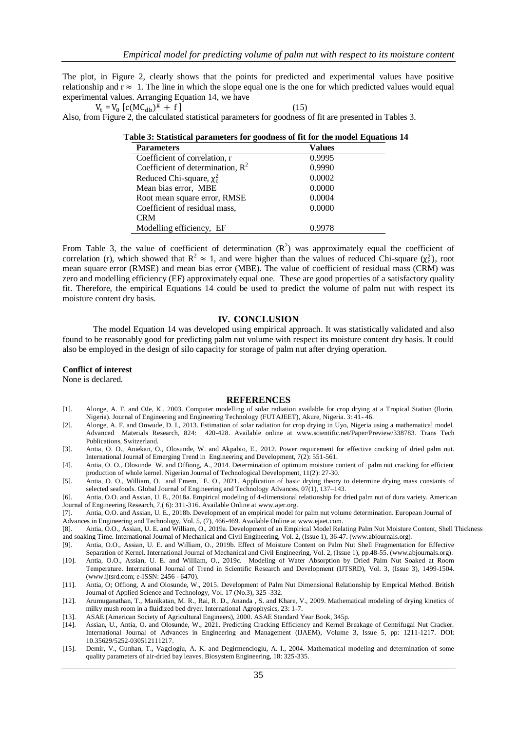The plot, in Figure 2, clearly shows that the points for predicted and experimental values have positive relationship and  $r \approx 1$ . The line in which the slope equal one is the one for which predicted values would equal experimental values. Arranging Equation 14, we have

 $V_t = V_0$  [c(MC<sub>db</sub>)<sup>g</sup> + f] (15)

$$
(15)
$$

Also, from Figure 2, the calculated statistical parameters for goodness of fit are presented in Tables 3.

| <b>Parameters</b>                   | <b>Values</b> |  |
|-------------------------------------|---------------|--|
| Coefficient of correlation, r       | 0.9995        |  |
| Coefficient of determination, $R^2$ | 0.9990        |  |
| Reduced Chi-square, $\chi_c^2$      | 0.0002        |  |
| Mean bias error, MBE                | 0.0000        |  |
| Root mean square error, RMSE        | 0.0004        |  |
| Coefficient of residual mass,       | 0.0000        |  |
| <b>CRM</b>                          |               |  |
| Modelling efficiency, EF            | በ 9978        |  |

**Table 3: Statistical parameters for goodness of fit for the model Equations 14** 

From Table 3, the value of coefficient of determination  $(R^2)$  was approximately equal the coefficient of correlation (r), which showed that  $R^2 \approx 1$ , and were higher than the values of reduced Chi-square ( $\chi_c^2$ ), root mean square error (RMSE) and mean bias error (MBE). The value of coefficient of residual mass (CRM) was zero and modelling efficiency (EF) approximately equal one. These are good properties of a satisfactory quality fit. Therefore, the empirical Equations 14 could be used to predict the volume of palm nut with respect its moisture content dry basis.

## **IV. CONCLUSION**

The model Equation 14 was developed using empirical approach. It was statistically validated and also found to be reasonably good for predicting palm nut volume with respect its moisture content dry basis. It could also be employed in the design of silo capacity for storage of palm nut after drying operation.

#### **Conflict of interest**

None is declared.

#### **REFERENCES**

- [1]. Alonge, A. F. and OJe, K., 2003. Computer modelling of solar radiation available for crop drying at a Tropical Station (Ilorin, Nigeria). Journal of Engineering and Engineering Technology (FUTAJEET), Akure, Nigeria. 3: 41- 46.
- [2]. Alonge, A. F. and Onwude, D. I., 2013. Estimation of solar radiation for crop drying in Uyo, Nigeria using a mathematical model. Advanced Materials Research, 824: 420-428. Available online at [www.scientific.net/Paper/Preview/338783.](http://www.scientific.net/Paper/Preview/338783) Trans Tech Publications, Switzerland.
- [3]. Antia, O. O., Aniekan, O., Olosunde, W. and Akpabio, E., 2012. Power requirement for effective cracking of dried palm nut. International Journal of Emerging Trend in Engineering and Development, 7(2): 551-561.
- [4]. Antia, O. O., Olosunde W. and Offiong, A., 2014. Determination of optimum moisture content of palm nut cracking for efficient production of whole kernel. Nigerian Journal of Technological Development, 11(2): 27-30.
- [5]. Antia, O. O., William, O. and Emem, E. O., 2021. Application of basic drying theory to determine drying mass constants of selected seafoods. Global Journal of Engineering and Technology Advances, 07(1), 137–143.

[6]. Antia, O.O. and Assian, U. E., 2018a. Empirical modeling of 4-dimensional relationship for dried palm nut of dura variety. American Journal of Engineering Research, 7,( 6): 311-316. Available Online a[t www.ajer.org.](http://www.ajer.org/)

[7]. Antia, O.O. and Assian, U. E., 2018b. Development of an empirical model for palm nut volume determination. European Journal of

Advances in Engineering and Technology, Vol. 5, (7), 466-469. Available Online at www.ejaet.com.

- [8]. Antia, O.O., Assian, U. E. and William, O., 2019a. Development of an Empirical Model Relating Palm Nut Moisture Content, Shell Thickness and soaking Time. International Journal of Mechanical and Civil Engineering, Vol. 2, (Issue 1), 36-47. (www.abjournals.org).
- [9]. Antia, O.O., Assian, U. E. and William, O., 2019b. Effect of Moisture Content on Palm Nut Shell Fragmentation for Effective Separation of Kernel. International Journal of Mechanical and Civil Engineering, Vol. 2, (Issue 1), pp.48-55. (www.abjournals.org).
- [10]. Antia, O.O., Assian, U. E. and William, O., 2019c. Modeling of Water Absorption by Dried Palm Nut Soaked at Room Temperature. International Journal of Trend in Scientific Research and Development (IJTSRD), Vol. 3, (Issue 3), 1499-1504. (www.ijtsrd.com; e-ISSN: 2456 - 6470).
- [11]. Antia, O; Offiong, A and Olosunde, W., 2015. Development of Palm Nut Dimensional Relationship by Emprical Method. British Journal of Applied Science and Technology, Vol. 17 (No.3), 325 -332.
- [12]. Arumuganathan, T., Manikatan, M. R., Rai, R. D., Ananda , S. and Khare, V., 2009. Mathematical modeling of drying kinetics of milky mush room in a fluidized bed dryer. International Agrophysics, 23: 1-7.
- [13]. ASAE (American Society of Agricultural Engineers), 2000. ASAE Standard Year Book, 345p.
- [14]. Assian, U., Antia, O. and Olosunde, W., 2021. Predicting Cracking Efficiency and Kernel Breakage of Centrifugal Nut Cracker. International Journal of Advances in Engineering and Management (IJAEM), Volume 3, Issue 5, pp: 1211-1217. DOI: 10.35629/5252-030512111217.
- [15]. Demir, V., Gunhan, T., Vagciogiu, A. K. and Degirmencioglu, A. I., 2004. Mathematical modeling and determination of some quality parameters of air-dried bay leaves. Biosystem Engineering, 18: 325-335.